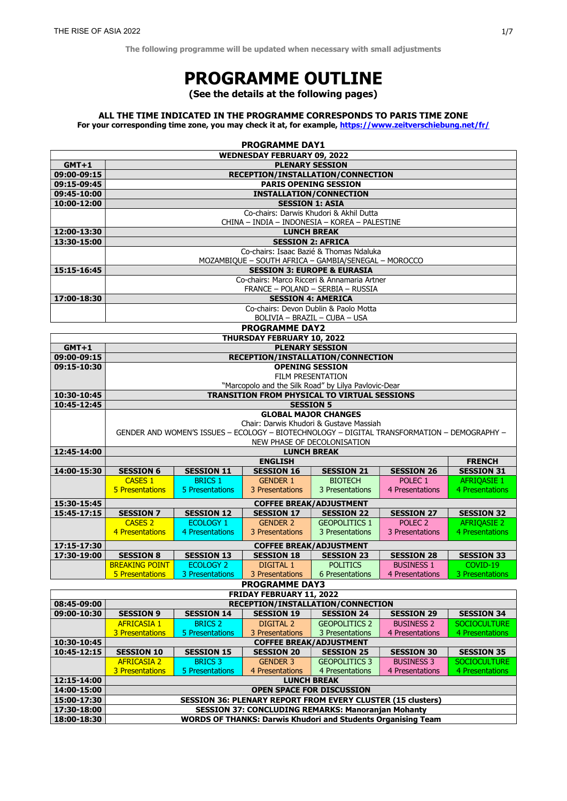The following programme will be updated when necessary with small adjustments

# PROGRAMME OUTLINE

(See the details at the following pages)

# ALL THE TIME INDICATED IN THE PROGRAMME CORRESPONDS TO PARIS TIME ZONE

For your corresponding time zone, you may check it at, for example, https://www.zeitverschiebung.net/fr/

| <b>PROGRAMME DAY1</b>              |                                                                                                                                                              |                   |                   |                      |                    |                     |
|------------------------------------|--------------------------------------------------------------------------------------------------------------------------------------------------------------|-------------------|-------------------|----------------------|--------------------|---------------------|
| <b>WEDNESDAY FEBRUARY 09, 2022</b> |                                                                                                                                                              |                   |                   |                      |                    |                     |
| $GMT+1$                            | <b>PLENARY SESSION</b>                                                                                                                                       |                   |                   |                      |                    |                     |
| 09:00-09:15                        | RECEPTION/INSTALLATION/CONNECTION                                                                                                                            |                   |                   |                      |                    |                     |
| 09:15-09:45                        | <b>PARIS OPENING SESSION</b>                                                                                                                                 |                   |                   |                      |                    |                     |
| 09:45-10:00                        | <b>INSTALLATION/CONNECTION</b>                                                                                                                               |                   |                   |                      |                    |                     |
| 10:00-12:00                        | <b>SESSION 1: ASIA</b>                                                                                                                                       |                   |                   |                      |                    |                     |
|                                    | Co-chairs: Darwis Khudori & Akhil Dutta                                                                                                                      |                   |                   |                      |                    |                     |
|                                    | CHINA - INDIA - INDONESIA - KOREA - PALESTINE                                                                                                                |                   |                   |                      |                    |                     |
| 12:00-13:30<br>13:30-15:00         | <b>LUNCH BREAK</b><br><b>SESSION 2: AFRICA</b>                                                                                                               |                   |                   |                      |                    |                     |
|                                    | Co-chairs: Isaac Bazié & Thomas Ndaluka                                                                                                                      |                   |                   |                      |                    |                     |
|                                    | MOZAMBIQUE - SOUTH AFRICA - GAMBIA/SENEGAL - MOROCCO                                                                                                         |                   |                   |                      |                    |                     |
| 15:15-16:45                        | <b>SESSION 3: EUROPE &amp; EURASIA</b>                                                                                                                       |                   |                   |                      |                    |                     |
|                                    | Co-chairs: Marco Ricceri & Annamaria Artner                                                                                                                  |                   |                   |                      |                    |                     |
|                                    | FRANCE - POLAND - SERBIA - RUSSIA                                                                                                                            |                   |                   |                      |                    |                     |
| 17:00-18:30                        | <b>SESSION 4: AMERICA</b>                                                                                                                                    |                   |                   |                      |                    |                     |
|                                    | Co-chairs: Devon Dublin & Paolo Motta                                                                                                                        |                   |                   |                      |                    |                     |
|                                    | BOLIVIA - BRAZIL - CUBA - USA                                                                                                                                |                   |                   |                      |                    |                     |
| <b>PROGRAMME DAY2</b>              |                                                                                                                                                              |                   |                   |                      |                    |                     |
| THURSDAY FEBRUARY 10, 2022         |                                                                                                                                                              |                   |                   |                      |                    |                     |
| $GMT+1$                            | <b>PLENARY SESSION</b>                                                                                                                                       |                   |                   |                      |                    |                     |
| 09:00-09:15<br>09:15-10:30         | RECEPTION/INSTALLATION/CONNECTION<br><b>OPENING SESSION</b>                                                                                                  |                   |                   |                      |                    |                     |
|                                    | FILM PRESENTATION                                                                                                                                            |                   |                   |                      |                    |                     |
|                                    | "Marcopolo and the Silk Road" by Lilya Pavlovic-Dear                                                                                                         |                   |                   |                      |                    |                     |
| 10:30-10:45                        | TRANSITION FROM PHYSICAL TO VIRTUAL SESSIONS                                                                                                                 |                   |                   |                      |                    |                     |
| 10:45-12:45                        | <b>SESSION 5</b>                                                                                                                                             |                   |                   |                      |                    |                     |
|                                    | <b>GLOBAL MAJOR CHANGES</b>                                                                                                                                  |                   |                   |                      |                    |                     |
|                                    | Chair: Darwis Khudori & Gustave Massiah                                                                                                                      |                   |                   |                      |                    |                     |
|                                    | GENDER AND WOMEN'S ISSUES - ECOLOGY - BIOTECHNOLOGY - DIGITAL TRANSFORMATION - DEMOGRAPHY -                                                                  |                   |                   |                      |                    |                     |
| 12:45-14:00                        | NEW PHASE OF DECOLONISATION<br><b>LUNCH BREAK</b>                                                                                                            |                   |                   |                      |                    |                     |
|                                    | <b>ENGLISH</b><br><b>FRENCH</b>                                                                                                                              |                   |                   |                      |                    |                     |
| 14:00-15:30                        | <b>SESSION 6</b>                                                                                                                                             | <b>SESSION 11</b> | <b>SESSION 16</b> | <b>SESSION 21</b>    | <b>SESSION 26</b>  | <b>SESSION 31</b>   |
|                                    | <b>CASES 1</b>                                                                                                                                               | <b>BRICS 1</b>    | <b>GENDER 1</b>   | <b>BIOTECH</b>       | POLEC <sub>1</sub> | <b>AFRIQASIE 1</b>  |
|                                    | 5 Presentations                                                                                                                                              | 5 Presentations   | 3 Presentations   | 3 Presentations      | 4 Presentations    | 4 Presentations     |
| 15:30-15:45                        | <b>COFFEE BREAK/ADJUSTMENT</b>                                                                                                                               |                   |                   |                      |                    |                     |
| 15:45-17:15                        | <b>SESSION 7</b>                                                                                                                                             | <b>SESSION 12</b> | <b>SESSION 17</b> | <b>SESSION 22</b>    | <b>SESSION 27</b>  | <b>SESSION 32</b>   |
|                                    | <b>CASES 2</b>                                                                                                                                               | <b>ECOLOGY 1</b>  | <b>GENDER 2</b>   | <b>GEOPOLITICS 1</b> | POLEC <sub>2</sub> | <b>AFRIQASIE 2</b>  |
|                                    | 4 Presentations                                                                                                                                              | 4 Presentations   | 3 Presentations   | 3 Presentations      | 3 Presentations    | 4 Presentations     |
| 17:15-17:30                        | <b>COFFEE BREAK/ADJUSTMENT</b>                                                                                                                               |                   |                   |                      |                    |                     |
| 17:30-19:00                        | <b>SESSION 8</b><br><b>SESSION 28</b><br><b>SESSION 13</b><br><b>SESSION 18</b><br><b>SESSION 23</b><br><b>SESSION 33</b>                                    |                   |                   |                      |                    |                     |
|                                    | <b>BREAKING POINT</b>                                                                                                                                        | <b>ECOLOGY 2</b>  | DIGITAL 1         | <b>POLITICS</b>      | <b>BUSINESS 1</b>  | COVID-19            |
|                                    | 5 Presentations                                                                                                                                              | 3 Presentations   | 3 Presentations   | 6 Presentations      | 4 Presentations    | 3 Presentations     |
| <b>PROGRAMME DAY3</b>              |                                                                                                                                                              |                   |                   |                      |                    |                     |
| FRIDAY FEBRUARY 11, 2022           |                                                                                                                                                              |                   |                   |                      |                    |                     |
| 08:45-09:00                        | RECEPTION/INSTALLATION/CONNECTION                                                                                                                            |                   |                   |                      |                    |                     |
| 09:00-10:30                        | <b>SESSION 9</b>                                                                                                                                             | <b>SESSION 14</b> | <b>SESSION 19</b> | <b>SESSION 24</b>    | <b>SESSION 29</b>  | <b>SESSION 34</b>   |
|                                    | <b>AFRICASIA 1</b>                                                                                                                                           | <b>BRICS 2</b>    | DIGITAL 2         | <b>GEOPOLITICS 2</b> | <b>BUSINESS 2</b>  | <b>SOCIOCULTURE</b> |
|                                    | 3 Presentations                                                                                                                                              | 5 Presentations   | 3 Presentations   | 3 Presentations      | 4 Presentations    | 4 Presentations     |
| 10:30-10:45<br>10:45-12:15         | <b>COFFEE BREAK/ADJUSTMENT</b><br><b>SESSION 10</b><br><b>SESSION 15</b><br><b>SESSION 20</b><br><b>SESSION 25</b><br><b>SESSION 30</b><br><b>SESSION 35</b> |                   |                   |                      |                    |                     |
|                                    | <b>AFRICASIA 2</b>                                                                                                                                           | <b>BRICS 3</b>    | <b>GENDER 3</b>   | <b>GEOPOLITICS 3</b> | <b>BUSINESS 3</b>  | <b>SOCIOCULTURE</b> |
|                                    | 3 Presentations                                                                                                                                              | 5 Presentations   | 4 Presentations   | 4 Presentations      | 4 Presentations    | 4 Presentations     |
| 12:15-14:00                        | <b>LUNCH BREAK</b>                                                                                                                                           |                   |                   |                      |                    |                     |
| 14:00-15:00                        | OPEN SPACE FOR DISCUSSION                                                                                                                                    |                   |                   |                      |                    |                     |
| 15:00-17:30                        | <b>SESSION 36: PLENARY REPORT FROM EVERY CLUSTER (15 clusters)</b>                                                                                           |                   |                   |                      |                    |                     |
| 17:30-18:00                        | <b>SESSION 37: CONCLUDING REMARKS: Manoranjan Mohanty</b>                                                                                                    |                   |                   |                      |                    |                     |
| 18:00-18:30                        | <b>WORDS OF THANKS: Darwis Khudori and Students Organising Team</b>                                                                                          |                   |                   |                      |                    |                     |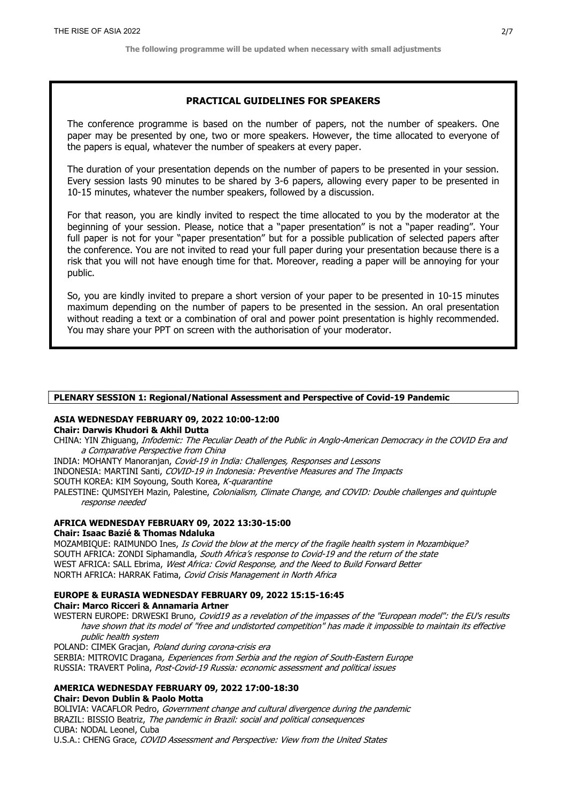# PRACTICAL GUIDELINES FOR SPEAKERS

The conference programme is based on the number of papers, not the number of speakers. One paper may be presented by one, two or more speakers. However, the time allocated to everyone of the papers is equal, whatever the number of speakers at every paper.

The duration of your presentation depends on the number of papers to be presented in your session. Every session lasts 90 minutes to be shared by 3-6 papers, allowing every paper to be presented in 10-15 minutes, whatever the number speakers, followed by a discussion.

For that reason, you are kindly invited to respect the time allocated to you by the moderator at the beginning of your session. Please, notice that a "paper presentation" is not a "paper reading". Your full paper is not for your "paper presentation" but for a possible publication of selected papers after the conference. You are not invited to read your full paper during your presentation because there is a risk that you will not have enough time for that. Moreover, reading a paper will be annoying for your public.

So, you are kindly invited to prepare a short version of your paper to be presented in 10-15 minutes maximum depending on the number of papers to be presented in the session. An oral presentation without reading a text or a combination of oral and power point presentation is highly recommended. You may share your PPT on screen with the authorisation of your moderator.

### PLENARY SESSION 1: Regional/National Assessment and Perspective of Covid-19 Pandemic

#### ASIA WEDNESDAY FEBRUARY 09, 2022 10:00-12:00 Chair: Darwis Khudori & Akhil Dutta

CHINA: YIN Zhiguang, Infodemic: The Peculiar Death of the Public in Anglo-American Democracy in the COVID Era and a Comparative Perspective from China

INDIA: MOHANTY Manoranjan, Covid-19 in India: Challenges, Responses and Lessons INDONESIA: MARTINI Santi, COVID-19 in Indonesia: Preventive Measures and The Impacts SOUTH KOREA: KIM Soyoung, South Korea, K-quarantine PALESTINE: QUMSIYEH Mazin, Palestine, Colonialism, Climate Change, and COVID: Double challenges and quintuple response needed

# AFRICA WEDNESDAY FEBRUARY 09, 2022 13:30-15:00

### Chair: Isaac Bazié & Thomas Ndaluka

MOZAMBIQUE: RAIMUNDO Ines, Is Covid the blow at the mercy of the fragile health system in Mozambique? SOUTH AFRICA: ZONDI Siphamandla, South Africa's response to Covid-19 and the return of the state WEST AFRICA: SALL Ebrima, West Africa: Covid Response, and the Need to Build Forward Better NORTH AFRICA: HARRAK Fatima, Covid Crisis Management in North Africa

### EUROPE & EURASIA WEDNESDAY FEBRUARY 09, 2022 15:15-16:45 Chair: Marco Ricceri & Annamaria Artner

WESTERN EUROPE: DRWESKI Bruno, Covid19 as a revelation of the impasses of the "European model": the EU's results have shown that its model of "free and undistorted competition" has made it impossible to maintain its effective public health system

POLAND: CIMEK Gracjan, Poland during corona-crisis era SERBIA: MITROVIC Dragana, Experiences from Serbia and the region of South-Eastern Europe RUSSIA: TRAVERT Polina, Post-Covid-19 Russia: economic assessment and political issues

# AMERICA WEDNESDAY FEBRUARY 09, 2022 17:00-18:30

# Chair: Devon Dublin & Paolo Motta

BOLIVIA: VACAFLOR Pedro, Government change and cultural divergence during the pandemic BRAZIL: BISSIO Beatriz, The pandemic in Brazil: social and political consequences CUBA: NODAL Leonel, Cuba U.S.A.: CHENG Grace, COVID Assessment and Perspective: View from the United States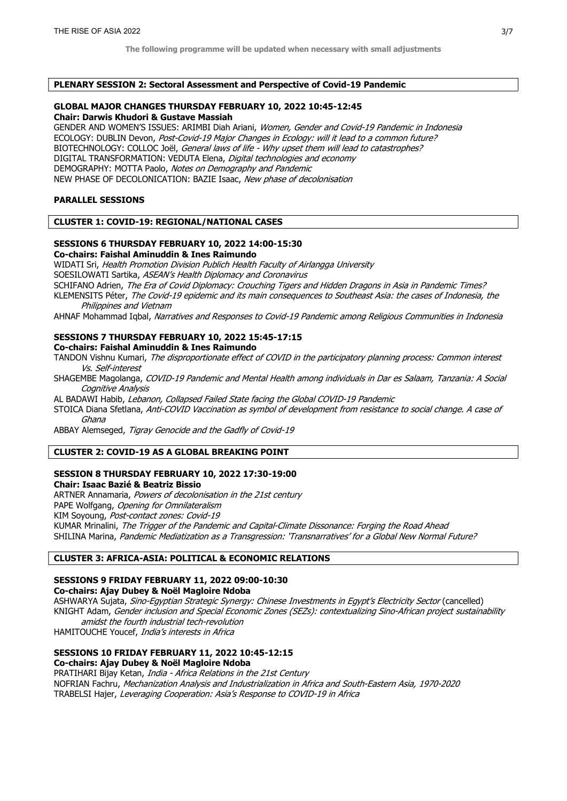#### PLENARY SESSION 2: Sectoral Assessment and Perspective of Covid-19 Pandemic

### GLOBAL MAJOR CHANGES THURSDAY FEBRUARY 10, 2022 10:45-12:45 Chair: Darwis Khudori & Gustave Massiah

GENDER AND WOMEN'S ISSUES: ARIMBI Diah Ariani, Women, Gender and Covid-19 Pandemic in Indonesia ECOLOGY: DUBLIN Devon, Post-Covid-19 Major Changes in Ecology: will it lead to a common future? BIOTECHNOLOGY: COLLOC Joël, General laws of life - Why upset them will lead to catastrophes? DIGITAL TRANSFORMATION: VEDUTA Elena, Digital technologies and economy DEMOGRAPHY: MOTTA Paolo, Notes on Demography and Pandemic NEW PHASE OF DECOLONICATION: BAZIE Isaac, New phase of decolonisation

### PARALLEL SESSIONS

#### CLUSTER 1: COVID-19: REGIONAL/NATIONAL CASES

#### SESSIONS 6 THURSDAY FEBRUARY 10, 2022 14:00-15:30 Co-chairs: Faishal Aminuddin & Ines Raimundo

WIDATI Sri, Health Promotion Division Publich Health Faculty of Airlangga University

SOESILOWATI Sartika, ASEAN's Health Diplomacy and Coronavirus

SCHIFANO Adrien, The Era of Covid Diplomacy: Crouching Tigers and Hidden Dragons in Asia in Pandemic Times? KLEMENSITS Péter, The Covid-19 epidemic and its main consequences to Southeast Asia: the cases of Indonesia, the Philippines and Vietnam

AHNAF Mohammad Iqbal, Narratives and Responses to Covid-19 Pandemic among Religious Communities in Indonesia

# SESSIONS 7 THURSDAY FEBRUARY 10, 2022 15:45-17:15

Co-chairs: Faishal Aminuddin & Ines Raimundo

TANDON Vishnu Kumari, The disproportionate effect of COVID in the participatory planning process: Common interest Vs. Self-interest

SHAGEMBE Magolanga, COVID-19 Pandemic and Mental Health among individuals in Dar es Salaam, Tanzania: A Social Cognitive Analysis

AL BADAWI Habib, Lebanon, Collapsed Failed State facing the Global COVID-19 Pandemic

STOICA Diana Sfetlana, Anti-COVID Vaccination as symbol of development from resistance to social change. A case of Ghana

ABBAY Alemseged, Tigray Genocide and the Gadfly of Covid-19

# CLUSTER 2: COVID-19 AS A GLOBAL BREAKING POINT

### SESSION 8 THURSDAY FEBRUARY 10, 2022 17:30-19:00 Chair: Isaac Bazié & Beatriz Bissio

ARTNER Annamaria, Powers of decolonisation in the 21st century PAPE Wolfgang, Opening for Omnilateralism KIM Soyoung, Post-contact zones: Covid-19 KUMAR Mrinalini, The Trigger of the Pandemic and Capital-Climate Dissonance: Forging the Road Ahead SHILINA Marina, Pandemic Mediatization as a Transgression: 'Transnarratives' for a Global New Normal Future?

### CLUSTER 3: AFRICA-ASIA: POLITICAL & ECONOMIC RELATIONS

### SESSIONS 9 FRIDAY FEBRUARY 11, 2022 09:00-10:30

# Co-chairs: Ajay Dubey & Noël Magloire Ndoba

ASHWARYA Sujata, Sino-Egyptian Strategic Synergy: Chinese Investments in Egypt's Electricity Sector (cancelled) KNIGHT Adam, Gender inclusion and Special Economic Zones (SEZs): contextualizing Sino-African project sustainability amidst the fourth industrial tech-revolution

HAMITOUCHE Youcef, India's interests in Africa

# SESSIONS 10 FRIDAY FEBRUARY 11, 2022 10:45-12:15

Co-chairs: Ajay Dubey & Noël Magloire Ndoba

PRATIHARI Bijay Ketan, India - Africa Relations in the 21st Century NOFRIAN Fachru, Mechanization Analysis and Industrialization in Africa and South-Eastern Asia, 1970-2020 TRABELSI Hajer, Leveraging Cooperation: Asia's Response to COVID-19 in Africa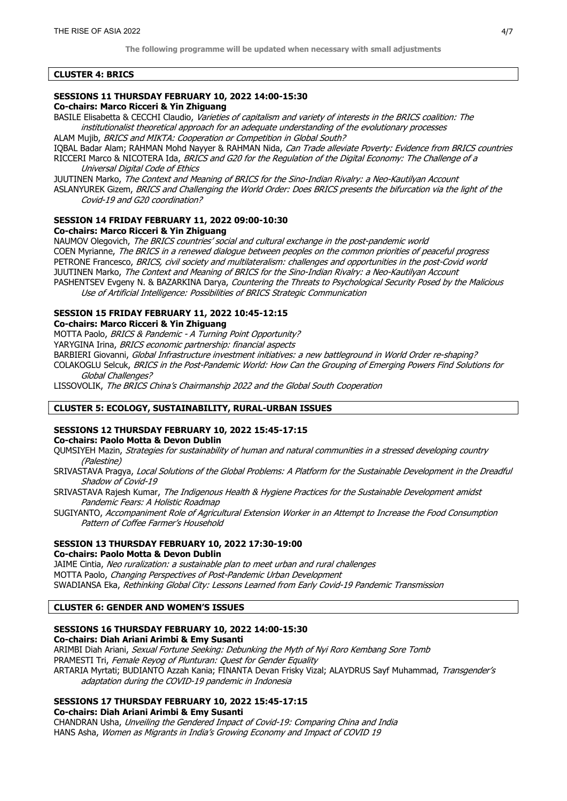#### CLUSTER 4: BRICS

# SESSIONS 11 THURSDAY FEBRUARY 10, 2022 14:00-15:30

Co-chairs: Marco Ricceri & Yin Zhiguang

BASILE Elisabetta & CECCHI Claudio, Varieties of capitalism and variety of interests in the BRICS coalition: The institutionalist theoretical approach for an adequate understanding of the evolutionary processes ALAM Mujib, BRICS and MIKTA: Cooperation or Competition in Global South?

IQBAL Badar Alam; RAHMAN Mohd Nayyer & RAHMAN Nida, Can Trade alleviate Poverty: Evidence from BRICS countries RICCERI Marco & NICOTERA Ida, BRICS and G20 for the Regulation of the Digital Economy: The Challenge of a Universal Digital Code of Ethics

JUUTINEN Marko, The Context and Meaning of BRICS for the Sino-Indian Rivalry: a Neo-Kautilyan Account ASLANYUREK Gizem, BRICS and Challenging the World Order: Does BRICS presents the bifurcation via the light of the Covid-19 and G20 coordination?

# SESSION 14 FRIDAY FEBRUARY 11, 2022 09:00-10:30

Co-chairs: Marco Ricceri & Yin Zhiguang

NAUMOV Olegovich, The BRICS countries' social and cultural exchange in the post-pandemic world COEN Myrianne, The BRICS in a renewed dialogue between peoples on the common priorities of peaceful progress PETRONE Francesco, BRICS, civil society and multilateralism: challenges and opportunities in the post-Covid world JUUTINEN Marko, The Context and Meaning of BRICS for the Sino-Indian Rivalry: a Neo-Kautilyan Account PASHENTSEV Evgeny N. & BAZARKINA Darya, Countering the Threats to Psychological Security Posed by the Malicious Use of Artificial Intelligence: Possibilities of BRICS Strategic Communication

# SESSION 15 FRIDAY FEBRUARY 11, 2022 10:45-12:15

Co-chairs: Marco Ricceri & Yin Zhiguang

MOTTA Paolo, BRICS & Pandemic - A Turning Point Opportunity?

YARYGINA Irina, BRICS economic partnership: financial aspects

BARBIERI Giovanni, Global Infrastructure investment initiatives: a new battleground in World Order re-shaping?

COLAKOGLU Selcuk, BRICS in the Post-Pandemic World: How Can the Grouping of Emerging Powers Find Solutions for Global Challenges?

LISSOVOLIK, The BRICS China's Chairmanship 2022 and the Global South Cooperation

### CLUSTER 5: ECOLOGY, SUSTAINABILITY, RURAL-URBAN ISSUES

### SESSIONS 12 THURSDAY FEBRUARY 10, 2022 15:45-17:15

Co-chairs: Paolo Motta & Devon Dublin

QUMSIYEH Mazin, Strategies for sustainability of human and natural communities in a stressed developing country (Palestine)

- SRIVASTAVA Pragya, Local Solutions of the Global Problems: A Platform for the Sustainable Development in the Dreadful Shadow of Covid-19
- SRIVASTAVA Rajesh Kumar, The Indigenous Health & Hygiene Practices for the Sustainable Development amidst Pandemic Fears: A Holistic Roadmap
- SUGIYANTO, Accompaniment Role of Agricultural Extension Worker in an Attempt to Increase the Food Consumption Pattern of Coffee Farmer's Household

#### SESSION 13 THURSDAY FEBRUARY 10, 2022 17:30-19:00 Co-chairs: Paolo Motta & Devon Dublin

JAIME Cintia, Neo ruralization: a sustainable plan to meet urban and rural challenges MOTTA Paolo, Changing Perspectives of Post-Pandemic Urban Development SWADIANSA Eka, Rethinking Global City: Lessons Learned from Early Covid-19 Pandemic Transmission

# CLUSTER 6: GENDER AND WOMEN'S ISSUES

### SESSIONS 16 THURSDAY FEBRUARY 10, 2022 14:00-15:30

Co-chairs: Diah Ariani Arimbi & Emy Susanti

ARIMBI Diah Ariani, Sexual Fortune Seeking: Debunking the Myth of Nyi Roro Kembang Sore Tomb PRAMESTI Tri, Female Reyog of Plunturan: Quest for Gender Equality ARTARIA Myrtati; BUDIANTO Azzah Kania; FINANTA Devan Frisky Vizal; ALAYDRUS Sayf Muhammad, Transgender's adaptation during the COVID-19 pandemic in Indonesia

# SESSIONS 17 THURSDAY FEBRUARY 10, 2022 15:45-17:15

Co-chairs: Diah Ariani Arimbi & Emy Susanti

CHANDRAN Usha, Unveiling the Gendered Impact of Covid-19: Comparing China and India HANS Asha, Women as Migrants in India's Growing Economy and Impact of COVID 19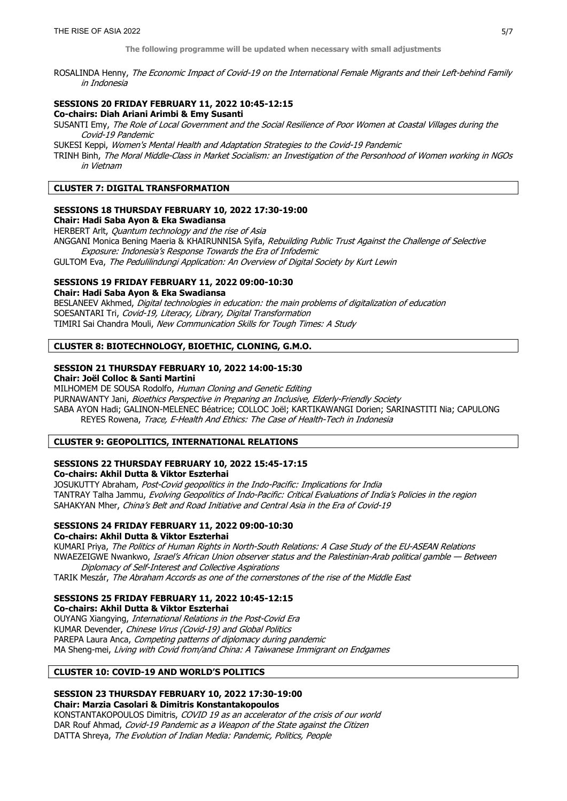ROSALINDA Henny, The Economic Impact of Covid-19 on the International Female Migrants and their Left-behind Family in Indonesia

#### SESSIONS 20 FRIDAY FEBRUARY 11, 2022 10:45-12:15 Co-chairs: Diah Ariani Arimbi & Emy Susanti

SUSANTI Emy, The Role of Local Government and the Social Resilience of Poor Women at Coastal Villages during the Covid-19 Pandemic

SUKESI Keppi, Women's Mental Health and Adaptation Strategies to the Covid-19 Pandemic

TRINH Binh, The Moral Middle-Class in Market Socialism: an Investigation of the Personhood of Women working in NGOs in Vietnam

# CLUSTER 7: DIGITAL TRANSFORMATION

#### SESSIONS 18 THURSDAY FEBRUARY 10, 2022 17:30-19:00

#### Chair: Hadi Saba Ayon & Eka Swadiansa

HERBERT Arlt, Quantum technology and the rise of Asia

ANGGANI Monica Bening Maeria & KHAIRUNNISA Syifa, Rebuilding Public Trust Against the Challenge of Selective Exposure: Indonesia's Response Towards the Era of Infodemic

GULTOM Eva, The Pedulilindungi Application: An Overview of Digital Society by Kurt Lewin

# SESSIONS 19 FRIDAY FEBRUARY 11, 2022 09:00-10:30

Chair: Hadi Saba Ayon & Eka Swadiansa

BESLANEEV Akhmed, Digital technologies in education: the main problems of digitalization of education SOESANTARI Tri, Covid-19, Literacy, Library, Digital Transformation TIMIRI Sai Chandra Mouli, New Communication Skills for Tough Times: A Study

### CLUSTER 8: BIOTECHNOLOGY, BIOETHIC, CLONING, G.M.O.

# SESSION 21 THURSDAY FEBRUARY 10, 2022 14:00-15:30

Chair: Joël Colloc & Santi Martini

MILHOMEM DE SOUSA Rodolfo, Human Cloning and Genetic Editing

PURNAWANTY Jani, Bioethics Perspective in Preparing an Inclusive, Elderly-Friendly Society SABA AYON Hadi; GALINON-MELENEC Béatrice; COLLOC Joël; KARTIKAWANGI Dorien; SARINASTITI Nia; CAPULONG REYES Rowena, Trace, E-Health And Ethics: The Case of Health-Tech in Indonesia

### CLUSTER 9: GEOPOLITICS, INTERNATIONAL RELATIONS

# SESSIONS 22 THURSDAY FEBRUARY 10, 2022 15:45-17:15

Co-chairs: Akhil Dutta & Viktor Eszterhai

JOSUKUTTY Abraham, Post-Covid geopolitics in the Indo-Pacific: Implications for India TANTRAY Talha Jammu, Evolving Geopolitics of Indo-Pacific: Critical Evaluations of India's Policies in the region SAHAKYAN Mher, China's Belt and Road Initiative and Central Asia in the Era of Covid-19

# SESSIONS 24 FRIDAY FEBRUARY 11, 2022 09:00-10:30

### Co-chairs: Akhil Dutta & Viktor Eszterhai

KUMARI Priya, The Politics of Human Rights in North-South Relations: A Case Study of the EU-ASEAN Relations NWAEZEIGWE Nwankwo, Israel's African Union observer status and the Palestinian-Arab political gamble - Between Diplomacy of Self-Interest and Collective Aspirations

TARIK Meszár, The Abraham Accords as one of the cornerstones of the rise of the Middle East

### SESSIONS 25 FRIDAY FEBRUARY 11, 2022 10:45-12:15 Co-chairs: Akhil Dutta & Viktor Eszterhai

OUYANG Xiangying, International Relations in the Post-Covid Era KUMAR Devender, Chinese Virus (Covid-19) and Global Politics PAREPA Laura Anca, Competing patterns of diplomacy during pandemic MA Sheng-mei, Living with Covid from/and China: A Taiwanese Immigrant on Endgames

### CLUSTER 10: COVID-19 AND WORLD'S POLITICS

#### SESSION 23 THURSDAY FEBRUARY 10, 2022 17:30-19:00 Chair: Marzia Casolari & Dimitris Konstantakopoulos

KONSTANTAKOPOULOS Dimitris, COVID 19 as an accelerator of the crisis of our world DAR Rouf Ahmad, Covid-19 Pandemic as a Weapon of the State against the Citizen DATTA Shreya, The Evolution of Indian Media: Pandemic, Politics, People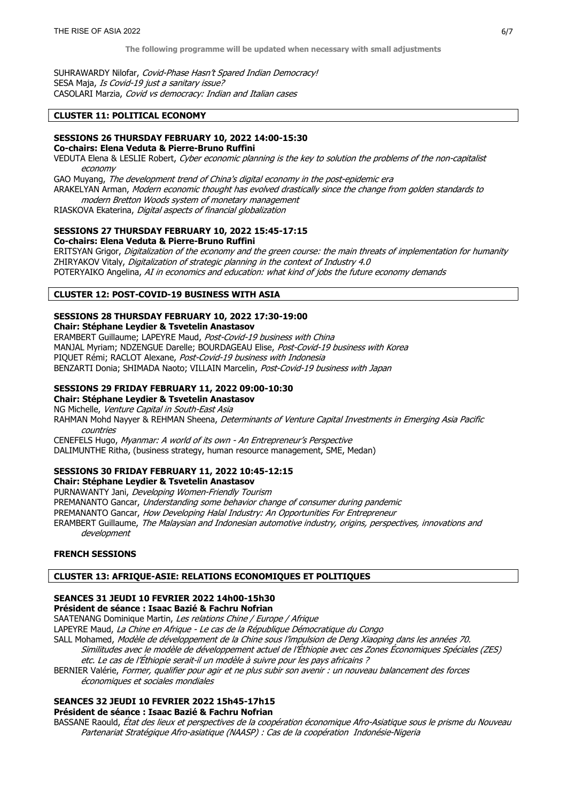SUHRAWARDY Nilofar, Covid-Phase Hasn't Spared Indian Democracy! SESA Maja, Is Covid-19 just a sanitary issue? CASOLARI Marzia, Covid vs democracy: Indian and Italian cases

# CLUSTER 11: POLITICAL ECONOMY

### SESSIONS 26 THURSDAY FEBRUARY 10, 2022 14:00-15:30

Co-chairs: Elena Veduta & Pierre-Bruno Ruffini

VEDUTA Elena & LESLIE Robert, Cyber economic planning is the key to solution the problems of the non-capitalist economy

GAO Muyang, The development trend of China's digital economy in the post-epidemic era ARAKELYAN Arman, Modern economic thought has evolved drastically since the change from golden standards to

modern Bretton Woods system of monetary management

RIASKOVA Ekaterina, Digital aspects of financial globalization

### SESSIONS 27 THURSDAY FEBRUARY 10, 2022 15:45-17:15

Co-chairs: Elena Veduta & Pierre-Bruno Ruffini

ERITSYAN Grigor, Digitalization of the economy and the green course: the main threats of implementation for humanity ZHIRYAKOV Vitaly, Digitalization of strategic planning in the context of Industry 4.0 POTERYAIKO Angelina, AI in economics and education: what kind of jobs the future economy demands

### CLUSTER 12: POST-COVID-19 BUSINESS WITH ASIA

### SESSIONS 28 THURSDAY FEBRUARY 10, 2022 17:30-19:00 Chair: Stéphane Leydier & Tsvetelin Anastasov

ERAMBERT Guillaume; LAPEYRE Maud, Post-Covid-19 business with China MANJAL Myriam; NDZENGUE Darelle; BOURDAGEAU Elise, Post-Covid-19 business with Korea PIQUET Rémi; RACLOT Alexane, Post-Covid-19 business with Indonesia BENZARTI Donia; SHIMADA Naoto; VILLAIN Marcelin, Post-Covid-19 business with Japan

### SESSIONS 29 FRIDAY FEBRUARY 11, 2022 09:00-10:30

Chair: Stéphane Leydier & Tsvetelin Anastasov

NG Michelle, Venture Capital in South-East Asia

RAHMAN Mohd Nayyer & REHMAN Sheena, Determinants of Venture Capital Investments in Emerging Asia Pacific countries

CENEFELS Hugo, Myanmar: A world of its own - An Entrepreneur's Perspective DALIMUNTHE Ritha, (business strategy, human resource management, SME, Medan)

# SESSIONS 30 FRIDAY FEBRUARY 11, 2022 10:45-12:15

Chair: Stéphane Leydier & Tsvetelin Anastasov PURNAWANTY Jani, Developing Women-Friendly Tourism PREMANANTO Gancar, Understanding some behavior change of consumer during pandemic PREMANANTO Gancar, How Developing Halal Industry: An Opportunities For Entrepreneur ERAMBERT Guillaume, The Malaysian and Indonesian automotive industry, origins, perspectives, innovations and development

# FRENCH SESSIONS

# CLUSTER 13: AFRIQUE-ASIE: RELATIONS ECONOMIQUES ET POLITIQUES

# SEANCES 31 JEUDI 10 FEVRIER 2022 14h00-15h30

# Président de séance : Isaac Bazié & Fachru Nofrian

SAATENANG Dominique Martin, Les relations Chine / Europe / Afrique

LAPEYRE Maud, La Chine en Afrique - Le cas de la République Démocratique du Congo

SALL Mohamed, Modèle de développement de la Chine sous l'impulsion de Deng Xiaoping dans les années 70.

- Similitudes avec le modèle de développement actuel de l'Éthiopie avec ces Zones Économiques Spéciales (ZES) etc. Le cas de l'Éthiopie serait-il un modèle à suivre pour les pays africains ?
- BERNIER Valérie, Former, qualifier pour agir et ne plus subir son avenir : un nouveau balancement des forces économiques et sociales mondiales

# SEANCES 32 JEUDI 10 FEVRIER 2022 15h45-17h15

# Président de séance : Isaac Bazié & Fachru Nofrian

BASSANE Raould, État des lieux et perspectives de la coopération économique Afro-Asiatique sous le prisme du Nouveau Partenariat Stratégique Afro-asiatique (NAASP) : Cas de la coopération Indonésie-Nigeria